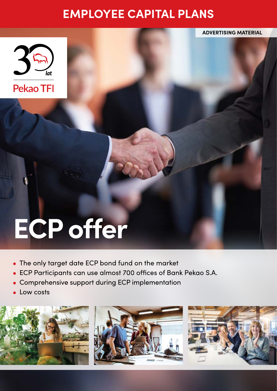# **EMPLOYEE CAPITAL PLANS**



# **ECP offer**

- The only target date ECP bond fund on the market
- ECP Participants can use almost 700 offices of Bank Pekao S.A.
- Comprehensive support during ECP implementation  $\bullet$
- Low costs







**ADVERTISING MATERIAL**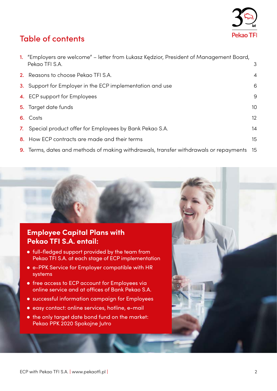

# Table of contents

| 1. "Employers are welcome" – letter from Łukasz Kędzior, President of Management Board,<br>Pekao TFI S.A. | 3               |
|-----------------------------------------------------------------------------------------------------------|-----------------|
| 2. Reasons to choose Pekao TFI S.A.                                                                       | $\overline{4}$  |
| 3. Support for Employer in the ECP implementation and use                                                 | 6               |
| 4. ECP support for Employees                                                                              | 9               |
| 5. Target date funds                                                                                      | 10 <sup>°</sup> |
| 6. Costs                                                                                                  | 12 <sup>2</sup> |
| 7. Special product offer for Employees by Bank Pekao S.A.                                                 | 14              |
| 8. How ECP contracts are made and their terms                                                             | 15              |
| 9. Terms, dates and methods of making withdrawals, transfer withdrawals or repayments 15                  |                 |

### **Employee Capital Plans with Pekao TFI S.A. entail:**

- full-fledged support provided by the team from Pekao TFI S.A. at each stage of ECP implementation
- e-PPK Service for Employer compatible with HR systems
- **•** free access to ECP account for Employees via online service and at offices of Bank Pekao S.A.
- successful information campaign for Employees
- easy contact: online services, hotline, e-mail
- $\bullet$  the only target date bond fund on the market: Pekao PPK 2020 Spokojne Jutro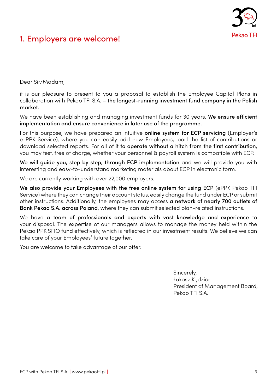

# 1. Employers are welcome!

Dear Sir/Madam,

it is our pleasure to present to you a proposal to establish the Employee Capital Plans in collaboration with Pekao TFI S.A. – the longest-running investment fund company in the Polish market.

We have been establishing and managing investment funds for 30 years. We ensure efficient implementation and ensure convenience in later use of the programme.

For this purpose, we have prepared an intuitive online system for ECP servicing (Employer's e-PPK Service), where you can easily add new Employees, load the list of contributions or download selected reports. For all of it to operate without a hitch from the first contribution, you may test, free of charge, whether your personnel & payroll system is compatible with ECP.

We will guide you, step by step, through ECP implementation and we will provide you with interesting and easy-to-understand marketing materials about ECP in electronic form.

We are currently working with over 22,000 employers.

We also provide your Employees with the free online system for using ECP (ePPK Pekao TFI Service) where they can change their account status, easily change the fund under ECP or submit other instructions. Additionally, the employees may access a network of nearly 700 outlets of Bank Pekao S.A. across Poland, where they can submit selected plan-related instructions.

We have a team of professionals and experts with vast knowledge and experience to your disposal. The expertise of our managers allows to manage the money held within the Pekao PPK SFIO fund effectively, which is reflected in our investment results. We believe we can take care of your Employees' future together.

You are welcome to take advantage of our offer.

Sincerely, Łukasz Kędzior President of Management Board, Pekao TFI S.A.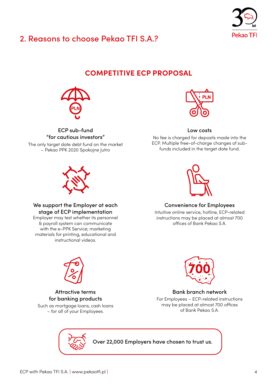

# 2. Reasons to choose Pekao TFI S.A.?

## **COMPETITIVE ECP PROPOSAL**



ECP sub-fund "for cautious investors" The only target date debt fund on the market – Pekao PPK 2020 Spokojne Jutro



### Low costs

No fee is charged for deposits made into the ECP. Multiple free-of-charge changes of subfunds included in the target date fund.



### Convenience for Employees

Intuitive online service, hotline, ECP-related instructions may be placed at almost 700 offices of Bank Pekao S.A.



Attractive terms for banking products Such as mortgage loans, cash loans – for all of your Employees.



Bank branch network

For Employees – ECP-related instructions may be placed at almost 700 offices of Bank Pekao S.A.

Over 22,000 Employers have chosen to trust us.



### We support the Employer at each stage of ECP implementation

Employer may test whether its personnel & payroll system can communicate with the e-PPK Service; marketing materials for printing, educational and instructional videos.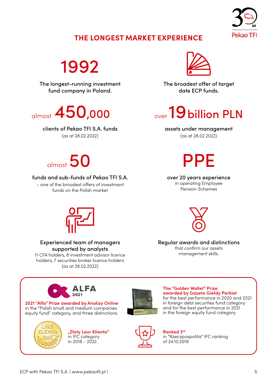

### **THE LONGEST MARKET EXPERIENCE**

1992

The longest-running investment fund company in Poland.

clients of Pekao TFI S.A. funds

(as at 28.02.2022)



The broadest offer of target date ECP funds.

# $_{\text{almost}}$  450,000  $_{\text{over}}$  19 billion PLN

### assets under management

(as at 28.02.2022)

PPE

over 20 years experience in operating Employee Pension Schemes



### funds and sub-funds of Pekao TFI S.A.

– one of the broadest offers of investment funds on the Polish market



### Experienced team of managers supported by analysts

11 CFA holders, 8 investment advisor licence holders, 7 securities broker licence holders (as at 28.02.2022)



Regular awards and distinctions that confirm our assets management skills.







**"Złoty Laur Klienta"** in IFC category  $in 2018 - 2022$ .



**The "Golden Wallet" Prize awarded by Gazeta Giełdy Parkiet** for the best performance in 2020 and 2021 in foreign debt securities fund category and for the best performance in 2021 in the foreign equity fund category.



**Ranked 3rd** in "Rzeczpospolita" IFC ranking of 24.10.2019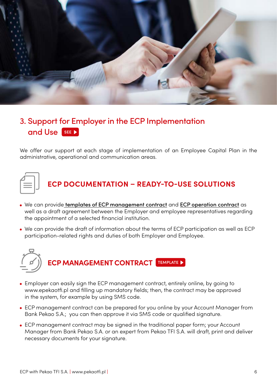

# [3. Support for Employer in the ECP Implementation](https://www.youtube.com/watch?v=MMNqTIFgJgQ&list=PLE9RX6vskn1wJ8Ng_4BbSPqRIvAbxKkz7&index=8)  and Use **SEE**

We offer our support at each stage of implementation of an Employee Capital Plan in the administrative, operational and communication areas.



# **ECP DOCUMENTATION – READY-TO-USE SOLUTIONS**

- . We can provide [templates of ECP management contract](https://www.epekaotfi.pl/assets/documents/Umowa_o_zarzadzanie_PPK_en.pdf) and [ECP operation contract](https://www.epekaotfi.pl/assets/documents/Umowa_o_prowadzenie_PPK_en.pdf) as well as a draft agreement between the Employer and employee representatives regarding the appointment of a selected financial institution.
- We can provide the draft of information about the terms of ECP participation as well as ECP participation-related rights and duties of both Employer and Employee.



- Employer can easily sign the ECP management contract, entirely online, by going to www.epekaotfi.pl and filling up mandatory fields; then, the contract may be approved in the system, for example by using SMS code.
- ECP management contract can be prepared for you online by your Account Manager from Bank Pekao S.A.; you can then approve it via SMS code or qualified signature.
- ECP management contract may be signed in the traditional paper form; your Account Manager from Bank Pekao S.A. or an expert from Pekao TFI S.A. will draft, print and deliver necessary documents for your signature.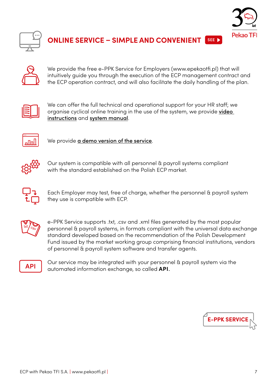



**NLINE SERVICE – SIMPLE AND CONVENIENT SEE** 



We provide the free e-PPK Service for Employers (www.epekaotfi.pl) that will intuitively guide you through the execution of the ECP management contract and the ECP operation contract, and will also facilitate the daily handling of the plan.



We can offer the full technical and operational support for your HR staff; we organise cyclical online training in the use of the system, we provide [video](https://pekaotfi.pl/produkty/ppk/ppk-pracodawca/serwis-eppk-dla-pracodawcow)  [instructions](https://pekaotfi.pl/produkty/ppk/ppk-pracodawca/serwis-eppk-dla-pracodawcow) and [system manual](https://www.epekaotfi.pl/assets/documents/Podrecznik_ePPK_pracodawca.pdf).



We provide **[a demo version of the service](https://demo.pekao-fs.com.pl/pekao/eppk/logowanie.html)**.



Our system is compatible with all personnel & payroll systems compliant with the standard established on the Polish ECP market.



Each Employer may test, free of charge, whether the personnel & payroll system they use is compatible with ECP.



e-PPK Service supports .txt, .csv and .xml files generated by the most popular personnel & payroll systems, in formats compliant with the universal data exchange standard developed based on the recommendation of the Polish Development Fund issued by the market working group comprising financial institutions, vendors of personnel & payroll system software and transfer agents.



Our service may be integrated with your personnel & payroll system via the automated information exchange, so called **API**.

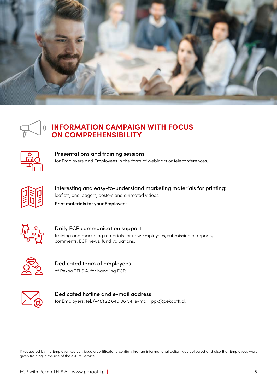



### **INFORMATION CAMPAIGN WITH FOCUS ON COMPREHENSIBILITY**



Presentations and training sessions for Employers and Employees in the form of webinars or teleconferences.



Interesting and easy-to-understand marketing materials for printing: leaflets, one-pagers, posters and animated videos.

[Print materials for your Employees](https://pekaotfi.pl/produkty/ppk/ppk-pracownik#pliki)



Daily ECP communication support training and marketing materials for new Employees, submission of reports, comments, ECP news, fund valuations.



Dedicated team of employees of Pekao TFI S.A. for handling ECP.



Dedicated hotline and e-mail address for Employers: tel. (+48) 22 640 06 54, e-mail: ppk@pekaotfi.pl.

If requested by the Employer, we can issue a certificate to confirm that an informational action was delivered and also that Employees were given training in the use of the e-PPK Service.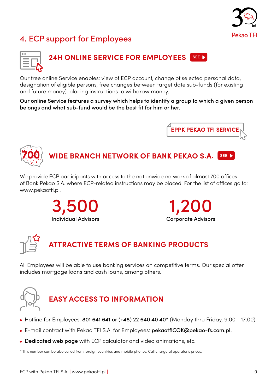

# 4. ECP support for Employees



# **[24H ONLINE SERVICE FOR EMPLOYEES](https://pekaotfi.pl/produkty/ppk/ppk-pracownik/instrukcja-wideo) SEE**

Our free online Service enables: view of ECP account, change of selected personal data, designation of eligible persons, free changes between target date sub-funds (for existing and future money), placing instructions to withdraw money.

Our online Service features a survey which helps to identify a group to which a given person belongs and what sub-fund would be the best fit for him or her.





We provide ECP participants with access to the nationwide network of almost 700 offices of Bank Pekao S.A. where ECP-related instructions may be placed. For the list of offices go to: www.pekaotfi.pl.







# **ATTRACTIVE TERMS OF BANKING PRODUCTS**

All Employees will be able to use banking services on competitive terms. Our special offer includes mortgage loans and cash loans, among others.



# **EASY ACCESS TO INFORMATION**

- Hotline for Employees: 801 641 641 or (+48) 22 640 40  $40*$  (Monday thru Friday, 9:00 17:00).
- E-mail contract with Pekao TFI S.A. for Employees: pekaotfiCOK@pekao-fs.com.pl.
- [Dedicated web page](https://pekaotfi.pl/produkty/ppk/ppk-pracodawca) with ECP calculator and video animations, etc.

\* This number can be also called from foreign countries and mobile phones. Call charge at operator's prices.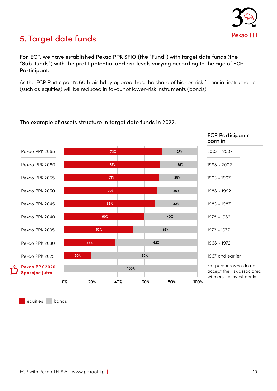

# 5. Target date funds

### For, ECP, we have established Pekao PPK SFIO (the "Fund") with target date funds (the "Sub-funds") with the profit potential and risk levels varying according to the age of ECP Participant.

As the ECP Participant's 60th birthday approaches, the share of higher-risk financial instruments (such as equities) will be reduced in favour of lower-risk instruments (bonds).

### The example of assets structure in target date funds in 2022.



equities bonds

ECP with Pekao TFI S.A. **|** www.pekaotfi.pl **|** 10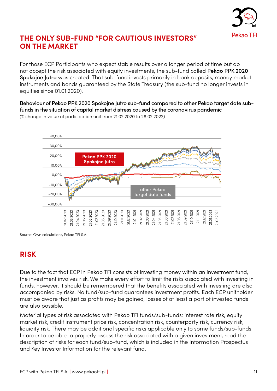

### **THE ONLY SUB-FUND "FOR CAUTIOUS INVESTORS" ON THE MARKET**

For those ECP Participants who expect stable results over a longer period of time but do not accept the risk associated with equity investments, the sub-fund called Pekao PPK 2020 Spokojne Jutro was created. That sub-fund invests primarily in bank deposits, money market instruments and bonds guaranteed by the State Treasury (the sub-fund no longer invests in equities since 01.01.2020).

Behaviour of Pekao PPK 2020 Spokojne Jutro sub-fund compared to other Pekao target date subfunds in the situation of capital market distress caused by the coronavirus pandemic



(% change in value of participation unit from 21.02.2020 to 28.02.2022)

Source: Own calculations, Pekao TFI S.A.

### **RISK**

Due to the fact that ECP in Pekao TFI consists of investing money within an investment fund, the investment involves risk. We make every effort to limit the risks associated with investing in funds, however, it should be remembered that the benefits associated with investing are also accompanied by risks. No fund/sub-fund guarantees investment profits. Each ECP unitholder must be aware that just as profits may be gained, losses of at least a part of invested funds are also possible.

Material types of risk associated with Pekao TFI funds/sub-funds: interest rate risk, equity market risk, credit instrument price risk, concentration risk, counterparty risk, currency risk, liquidity risk. There may be additional specific risks applicable only to some funds/sub-funds. In order to be able to properly assess the risk associated with a given investment, read the description of risks for each fund/sub-fund, which is included in the Information Prospectus and Key Investor Information for the relevant fund.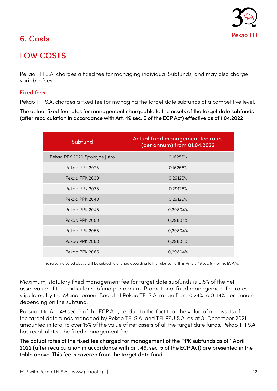

# 6. Costs

# LOW COSTS

Pekao TFI S.A. charges a fixed fee for managing individual Subfunds, and may also charge variable fees.

### Fixed fees

Pekao TFI S.A. charges a fixed fee for managing the target date subfunds at a competitive level.

The actual fixed fee rates for management chargeable to the assets of the target date subfunds (after recalculation in accordance with Art. 49 sec. 5 of the ECP Act) effective as of 1.04.2022

| <b>Subfund</b>                | Actual fixed management fee rates<br>(per annum) from 01.04.2022 |
|-------------------------------|------------------------------------------------------------------|
| Pekao PPK 2020 Spokojne Jutro | 0,16256%                                                         |
| Pekao PPK 2025                | 0,16256%                                                         |
| Pekao PPK 2030                | 0,29126%                                                         |
| Pekao PPK 2035                | 0,29126%                                                         |
| Pekao PPK 2040                | 0,29126%                                                         |
| Pekao PPK 2045                | 0,29804%                                                         |
| Pekao PPK 2050                | 0,29804%                                                         |
| Pekao PPK 2055                | 0,29804%                                                         |
| Pekao PPK 2060                | 0,29804%                                                         |
| Pekao PPK 2065                | 0,29804%                                                         |

The rates indicated above will be subject to change according to the rules set forth in Article 49 sec. 5-7 of the ECP Act.

Maximum, statutory fixed management fee for target date subfunds is 0.5% of the net asset value of the particular subfund per annum. Promotional fixed management fee rates stipulated by the Management Board of Pekao TFI S.A. range from 0.24% to 0.44% per annum depending on the subfund.

Pursuant to Art. 49 sec. 5 of the ECP Act, i.e. due to the fact that the value of net assets of the target date funds managed by Pekao TFI S.A. and TFI PZU S.A. as at 31 December 2021 amounted in total to over 15% of the value of net assets of all the target date funds, Pekao TFI S.A. has recalculated the fixed management fee.

The actual rates of the fixed fee charged for management of the PPK subfunds as of 1 April 2022 (after recalculation in accordance with art. 49, sec. 5 of the ECP Act) are presented in the table above. This fee is covered from the target date fund.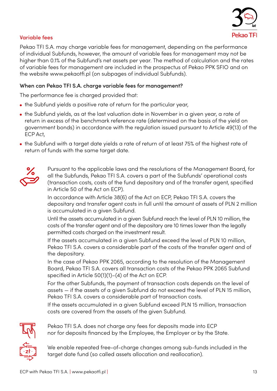

### Variable fees

Pekao TFI S.A. may charge variable fees for management, depending on the performance of individual Subfunds, however, the amount of variable fees for management may not be higher than 0.1% of the Subfund's net assets per year. The method of calculation and the rates of variable fees for management are included in the prospectus of Pekao PPK SFIO and on the website www.pekaotfi.pl (on subpages of individual Subfunds).

### When can Pekao TFI S.A. charge variable fees for management?

The performance fee is charged provided that:

- the Subfund yields a positive rate of return for the particular year,
- the Subfund yields, as at the last valuation date in November in a given year, a rate of return in excess of the benchmark reference rate (determined on the basis of the yield on government bonds) in accordance with the regulation issued pursuant to Article 49(13) of the ECP Act,
- the Subfund with a target date yields a rate of return of at least 75% of the highest rate of return of funds with the same target date.



Pursuant to the applicable laws and the resolutions of the Management Board, for all the Subfunds, Pekao TFI S.A. covers a part of the Subfunds' operational costs (transaction costs, costs of the fund depositary and of the transfer agent, specified in Article 50 of the Act on ECP).

In accordance with Article 38(6) of the Act on ECP, Pekao TFI S.A. covers the depositary and transfer agent costs in full until the amount of assets of PLN 2 million is accumulated in a given Subfund.

Until the assets accumulated in a given Subfund reach the level of PLN 10 million, the costs of the transfer agent and of the depositary are 10 times lower than the legally permitted costs charged on the investment result.

If the assets accumulated in a given Subfund exceed the level of PLN 10 million, Pekao TFI S.A. covers a considerable part of the costs of the transfer agent and of the depositary.

In the case of Pekao PPK 2065, according to the resolution of the Management Board, Pekao TFI S.A. covers all transaction costs of the Pekao PPK 2065 Subfund specified in Article 50(1)(1)–(4) of the Act on ECP.

For the other Subfunds, the payment of transaction costs depends on the level of assets — if the assets of a given Subfund do not exceed the level of PLN 15 million, Pekao TFI S.A. covers a considerable part of transaction costs.

If the assets accumulated in a given Subfund exceed PLN 15 million, transaction costs are covered from the assets of the given Subfund.



Pekao TFI S.A. does not charge any fees for deposits made into ECP nor for deposits financed by the Employee, the Employer or by the State.

We enable repeated free-of-charge changes among sub-funds included in the target date fund (so called assets allocation and reallocation).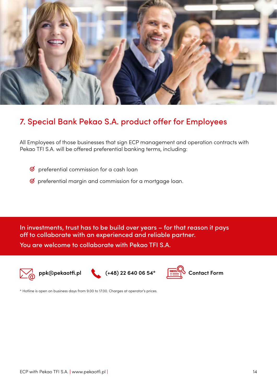

# 7. Special Bank Pekao S.A. product offer for Employees

All Employees of those businesses that sign ECP management and operation contracts with Pekao TFI S.A. will be offered preferential banking terms, including:

- ☑ preferential commission for a cash loan
- ☑preferential margin and commission for a mortgage loan.

In investments, trust has to be build over years – for that reason it pays off to collaborate with an experienced and reliable partner. You are welcome to collaborate with Pekao TFI S.A.







\* Hotline is open on business days from 9.00 to 17.00. Charges at operator's prices.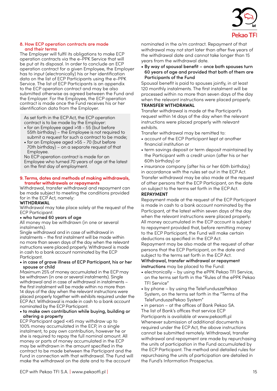

#### 8. How ECP operation contracts are made and their terms

The Employer will fulfil its obligations to make ECP operation contracts via the e-PPK Service that will be put at its disposal. In order to conclude an ECP operation contract for a given Employee, the Employer has to input (electronically) his or her identification data on the list of ECP Participants using the e-PPK Service. The list of ECP Participants is an appendix to the ECP operation contract and may be also submitted otherwise as agreed between the Fund and the Employer. For the Employee, the ECP operation contract is made once the Fund receives his or her identification data from the Employer.

As set forth in the ECP Act, the ECP operation contract is to be made by the Employer:

- for an Employee aged >18 55 (but before 55th birthday) – the Employee is not required to submit a request for such a contract to be made;
- for an Employee aged >55 70 (but before 70th birthday) – on a separate request of that Employee.

No ECP operation contract is made for an Employee who turned 70 years of age at the latest on the first day of employment.

#### **9. Terms, dates and methods of making withdrawals, transfer withdrawals or repayments**

Withdrawal, transfer withdrawal and repayment can be made subject to meeting the conditions provided for in the ECP Act, namely:

### **WITHDRAWAL**

Withdrawal may take place solely at the request of the ECP Participant:

### • who turned 60 years of age

All money may be withdrawn (in one or several instalments).

Single withdrawal and in case of withdrawal in instalments – the first instalment will be made within no more than seven days of the day when the relevant instructions were placed properly. Withdrawal is made in cash to a bank account nominated by the ECP Participant.

### • in case of grave illness of ECP Participant, his or her spouse or child

Maximum 25% of money accumulated in the ECP may be withdrawn (in one or several instalments). Single withdrawal and in case of withdrawal in instalments – the first instalment will be made within no more than 14 days of the day when the relevant instructions were placed properly together with exhibits required under the ECP Act. Withdrawal is made in cash to a bank account nominated by the ECP Participant.

### • to make own contribution while buying, building or altering a property

ECP Participant aged <45 may withdraw up to 100% money accumulated in the ECP, in a single instalment, to pay own contribution, however he or she is required to repay the full nominal amount. All money or parts of money accumulated in the ECP may be withdrawn in the amount specified in the contract to be made between the Participant and the Fund in connection with that withdrawal. The Fund will make the withdrawal on the date and to the account

nominated in the a/m contract. Repayment of that withdrawal may not start later than after five years of the withdrawal date and cannot take longer than 15 years from the withdrawal date.

• By way of spousal benefit – once both spouses turn 60 years of age and provided that both of them are Participants of the Fund

Spousal benefit is paid to spouses jointly, in at least 120 monthly instalments. The first instalment will be processed within no more than seven days of the day when the relevant instructions were placed properly. **TRANSFER WITHDRAWAL** 

Transfer withdrawal is made at the Participant's request within 14 days of the day when the relevant instructions were placed properly with relevant exhibits.

Transfer withdrawal may be remitted to:

- account of the ECP Participant kept at another financial institution or
- term savings deposit or term deposit maintained by the Participant with a credit union (after his or her 60th birthday) or

• insurance company (after his or her 60th birthday) in accordance with the rules set out in the ECP Act. Transfer withdrawal may be also made at the request of other persons that the ECP Participant, on the date on subject to the terms set forth in the ECP Act.

### **REPAYMENT**

Repayment made at the request of the ECP Participant is made in cash to a bank account nominated by the Participant, at the latest within seven days of the day when the relevant instructions were placed properly. All money accumulated in the ECP account is subject to repayment provided that, before remitting money to the ECP Participant, the Fund will make certain deductions as specified in the ECP Act. Repayment may be also made at the request of other persons that the ECP Participant, on the date and subject to the terms set forth in the ECP Act. Withdrawal, transfer withdrawal or repayment instructions may be placed to the Fund:

- electronically by using the ePPK Pekao TFI Service, on the terms set forth in the "Rules of the ePPK Pekao TFI Service"
- by phone by using the TeleFunduszePekao System, on the terms set forth in the "Terms of the TeleFunduszePekao System"

• in person – at the offices of Bank Pekao SA. The list of Bank's offices that service ECP Participants is available at www.pekaotfi.pl Whenever submission of additional documents is required under the ECP Act, the above instructions cannot be submitted remotely. Withdrawal, transfer withdrawal and repayment are made by repurchasing the units of participation in the Fund accumulated by the ECP Participant. The method and detailed rules for repurchasing the units of participation are detailed in the Fund's Information Prospectus.